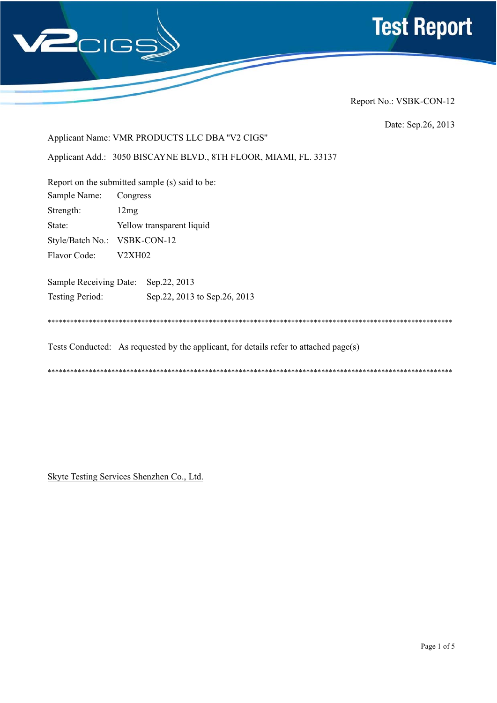



Date: Sep.26, 2013

Applicant Name: VMR PRODUCTS LLC DBA "V2 CIGS"

Applicant Add.: 3050 BISCAYNE BLVD., 8TH FLOOR, MIAMI, FL. 33137

|                               | Report on the submitted sample (s) said to be:                                        |
|-------------------------------|---------------------------------------------------------------------------------------|
| Sample Name:                  | Congress                                                                              |
| Strength:                     | 12mg                                                                                  |
| State:                        | Yellow transparent liquid                                                             |
| Style/Batch No.: VSBK-CON-12  |                                                                                       |
| Flavor Code:                  | V2XH02                                                                                |
| <b>Sample Receiving Date:</b> | Sep.22, 2013                                                                          |
| <b>Testing Period:</b>        | Sep. 22, 2013 to Sep. 26, 2013                                                        |
|                               |                                                                                       |
|                               | Tests Conducted: As requested by the applicant, for details refer to attached page(s) |

Skyte Testing Services Shenzhen Co., Ltd.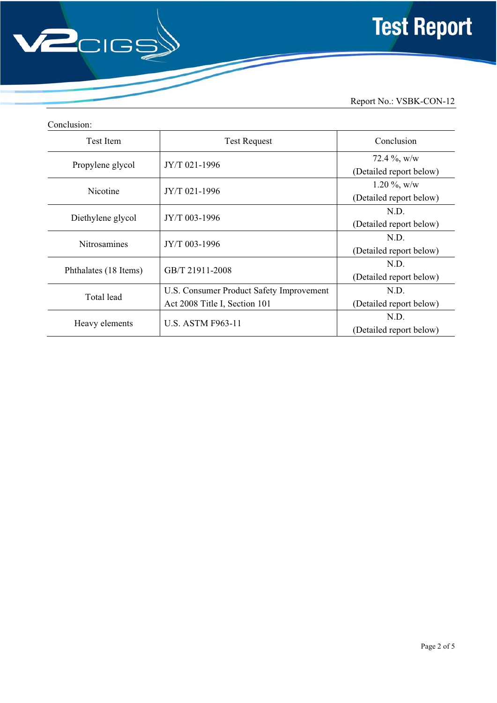

| Conclusion:           |                                          |                         |  |  |
|-----------------------|------------------------------------------|-------------------------|--|--|
| <b>Test Item</b>      | <b>Test Request</b>                      | Conclusion              |  |  |
|                       |                                          | 72.4 $\%$ , w/w         |  |  |
| Propylene glycol      | JY/T 021-1996                            | (Detailed report below) |  |  |
|                       |                                          | $1.20\%$ , w/w          |  |  |
| Nicotine              | JY/T 021-1996                            | (Detailed report below) |  |  |
|                       | JY/T 003-1996                            | N.D.                    |  |  |
| Diethylene glycol     |                                          | (Detailed report below) |  |  |
| <b>Nitrosamines</b>   |                                          | N.D.                    |  |  |
|                       | JY/T 003-1996                            | (Detailed report below) |  |  |
|                       |                                          | N.D.                    |  |  |
| Phthalates (18 Items) | GB/T 21911-2008                          | (Detailed report below) |  |  |
|                       | U.S. Consumer Product Safety Improvement | N.D.                    |  |  |
| Total lead            | Act 2008 Title I, Section 101            | (Detailed report below) |  |  |
|                       |                                          | N.D.                    |  |  |
| Heavy elements        | <b>U.S. ASTM F963-11</b>                 | (Detailed report below) |  |  |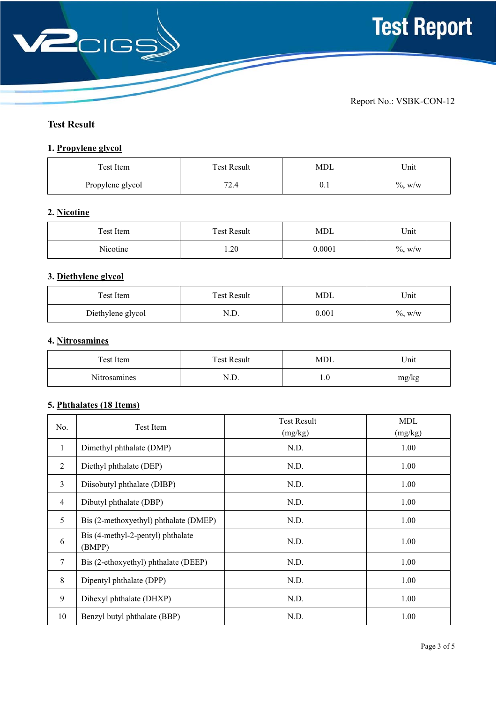

# **Test Result**

## **1. Propylene glycol**

| Test Item        | <b>Test Result</b> | MDL  | Unit       |
|------------------|--------------------|------|------------|
| Propylene glycol | 70<br>∠.+          | υ. ι | $\%$ , w/w |

### **2. Nicotine**

| Test Item | <b>Test Result</b> | MDL    | Unit       |
|-----------|--------------------|--------|------------|
| Nicotine  | 1.20               | 0.0001 | $\%$ , w/w |

## **3. Diethylene glycol**

| Test Item         | <b>Test Result</b>  | MDL   | Unit       |
|-------------------|---------------------|-------|------------|
| Diethylene glycol | $\cdot$ . $\cdot$ . | 0.001 | $\%$ , w/w |

# **4. Nitrosamines**

| Test Item           | <b>Test Result</b> | MDL  | Unit  |
|---------------------|--------------------|------|-------|
| <b>Nitrosamines</b> | .4.D.              | IJ.U | mg/kg |

### **5. Phthalates (18 Items)**

| No.            | Test Item                                   | <b>Test Result</b><br>(mg/kg) | <b>MDL</b><br>(mg/kg) |
|----------------|---------------------------------------------|-------------------------------|-----------------------|
| 1              | Dimethyl phthalate (DMP)                    | N.D.                          | 1.00                  |
| 2              | Diethyl phthalate (DEP)                     | N.D.                          | 1.00                  |
| 3              | Diisobutyl phthalate (DIBP)                 | N.D.                          | 1.00                  |
| $\overline{4}$ | Dibutyl phthalate (DBP)                     | N.D.                          | 1.00                  |
| 5              | Bis (2-methoxyethyl) phthalate (DMEP)       | N.D.                          | 1.00                  |
| 6              | Bis (4-methyl-2-pentyl) phthalate<br>(BMPP) | N.D.                          | 1.00                  |
| $\tau$         | Bis (2-ethoxyethyl) phthalate (DEEP)        | N.D.                          | 1.00                  |
| 8              | Dipentyl phthalate (DPP)                    | N.D.                          | 1.00                  |
| 9              | Dihexyl phthalate (DHXP)                    | N.D.                          | 1.00                  |
| 10             | Benzyl butyl phthalate (BBP)                | N.D.                          | 1.00                  |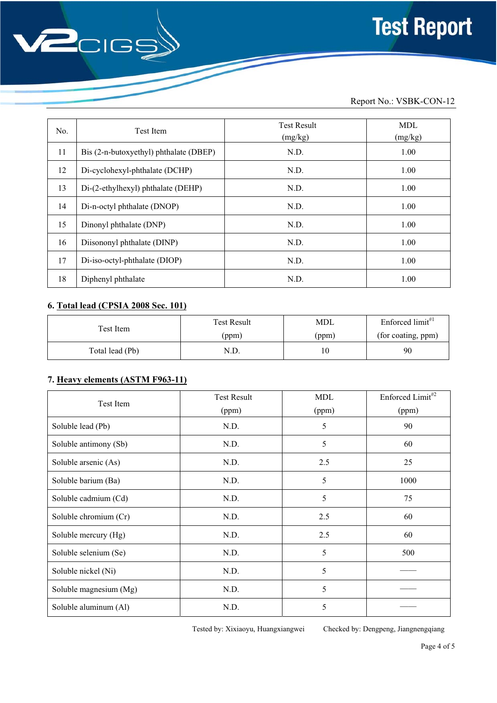

| No. | <b>Test Item</b>                       | <b>Test Result</b><br>(mg/kg) | <b>MDL</b><br>(mg/kg) |
|-----|----------------------------------------|-------------------------------|-----------------------|
| 11  | Bis (2-n-butoxyethyl) phthalate (DBEP) | N.D.                          | 1.00                  |
| 12  | Di-cyclohexyl-phthalate (DCHP)         | N.D.                          | 1.00                  |
| 13  | Di-(2-ethylhexyl) phthalate (DEHP)     | N.D.                          | 1.00                  |
| 14  | Di-n-octyl phthalate (DNOP)            | N.D.                          | 1.00                  |
| 15  | Dinonyl phthalate (DNP)                | N.D.                          | 1.00                  |
| 16  | Diisononyl phthalate (DINP)            | N.D.                          | 1.00                  |
| 17  | Di-iso-octyl-phthalate (DIOP)          | N.D.                          | 1.00                  |
| 18  | Diphenyl phthalate                     | N.D.                          | 1.00                  |

### **6. Total lead (CPSIA 2008 Sec. 101)**

| Test Item       | <b>Test Result</b> | MDL   | Enforced $limit$ <sup>#1</sup> |
|-----------------|--------------------|-------|--------------------------------|
|                 | (ppm)              | (ppm) | (for coating, ppm)             |
| Total lead (Pb) | N.D.               |       | 90                             |

## **7. Heavy elements (ASTM F963-11)**

| Test Item              | <b>Test Result</b> | <b>MDL</b> | Enforced Limit <sup>#2</sup> |
|------------------------|--------------------|------------|------------------------------|
|                        | (ppm)              | (ppm)      | (ppm)                        |
| Soluble lead (Pb)      | N.D.               | 5          | 90                           |
| Soluble antimony (Sb)  | N.D.               | 5          | 60                           |
| Soluble arsenic (As)   | N.D.               | 2.5        | 25                           |
| Soluble barium (Ba)    | N.D.               | 5          | 1000                         |
| Soluble cadmium (Cd)   | N.D.               | 5          | 75                           |
| Soluble chromium (Cr)  | N.D.               | 2.5        | 60                           |
| Soluble mercury (Hg)   | N.D.               | 2.5        | 60                           |
| Soluble selenium (Se)  | N.D.               | 5          | 500                          |
| Soluble nickel (Ni)    | N.D.               | 5          |                              |
| Soluble magnesium (Mg) | N.D.               | 5          |                              |
| Soluble aluminum (Al)  | N.D.               | 5          |                              |

Tested by: Xixiaoyu, Huangxiangwei Checked by: Dengpeng, Jiangnengqiang